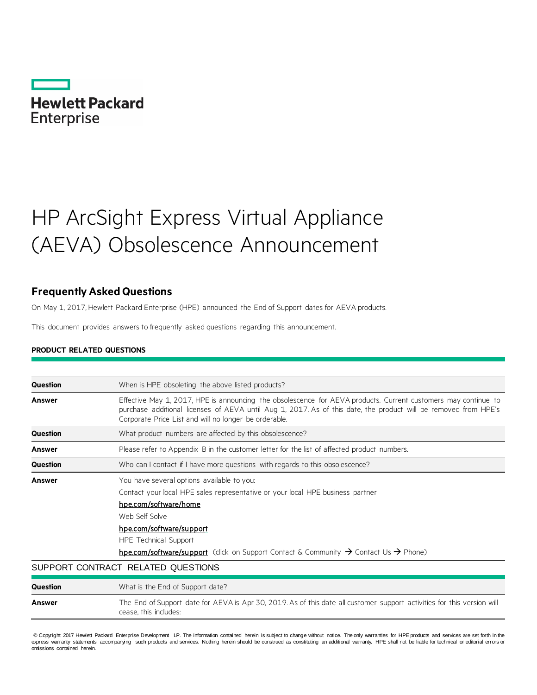

## HP ArcSight Express Virtual Appliance (AEVA) Obsolescence Announcement

## **Frequently Asked Questions**

On May 1, 2017, Hewlett Packard Enterprise (HPE) announced the End of Support dates for AEVA products.

This document provides answers to frequently asked questions regarding this announcement.

## **PRODUCT RELATED QUESTIONS**

| Question      | When is HPE obsoleting the above listed products?                                                                                                                                                                                                                                                                                                   |
|---------------|-----------------------------------------------------------------------------------------------------------------------------------------------------------------------------------------------------------------------------------------------------------------------------------------------------------------------------------------------------|
| Answer        | Effective May 1, 2017, HPE is announcing the obsolescence for AEVA products. Current customers may continue to<br>purchase additional licenses of AEVA until Aug 1, 2017. As of this date, the product will be removed from HPE's<br>Corporate Price List and will no longer be orderable.                                                          |
| Question      | What product numbers are affected by this obsolescence?                                                                                                                                                                                                                                                                                             |
| Answer        | Please refer to Appendix B in the customer letter for the list of affected product numbers.                                                                                                                                                                                                                                                         |
| Question      | Who can I contact if I have more questions with regards to this obsolescence?                                                                                                                                                                                                                                                                       |
| <b>Answer</b> | You have several options available to you:<br>Contact your local HPE sales representative or your local HPE business partner<br>hpe.com/software/home<br>Web Self Solve<br>hpe.com/software/support<br>HPE Technical Support<br><b>hpe.com/software/support</b> (click on Support Contact & Community $\rightarrow$ Contact Us $\rightarrow$ Phone) |
|               | SUPPORT CONTRACT RELATED QUESTIONS                                                                                                                                                                                                                                                                                                                  |
| Question      | What is the End of Support date?                                                                                                                                                                                                                                                                                                                    |
| Answer        | The End of Support date for AEVA is Apr 30, 2019. As of this date all customer support activities for this version will                                                                                                                                                                                                                             |

cease, this includes:

\*© Copyright 2017 Hewlett Packard Enterprise Development LP. The information contained herein is subject to change without notice. The only warranties for HPE products and services are set forth in the express warranty statements accompanying such products and services. Nothing herein should be construed as constituting an additional warranty. HPE shall not be liable for technical or editorial errors or omissions contained herein.